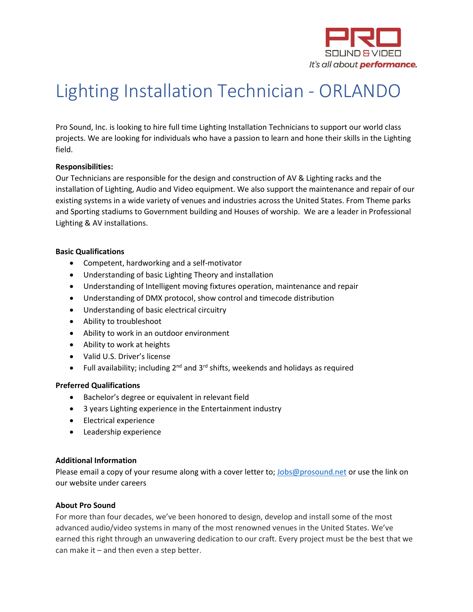

# Lighting Installation Technician - ORLANDO

Pro Sound, Inc. is looking to hire full time Lighting Installation Technicians to support our world class projects. We are looking for individuals who have a passion to learn and hone their skills in the Lighting field.

## **Responsibilities:**

Our Technicians are responsible for the design and construction of AV & Lighting racks and the installation of Lighting, Audio and Video equipment. We also support the maintenance and repair of our existing systems in a wide variety of venues and industries across the United States. From Theme parks and Sporting stadiums to Government building and Houses of worship. We are a leader in Professional Lighting & AV installations.

## **Basic Qualifications**

- Competent, hardworking and a self-motivator
- Understanding of basic Lighting Theory and installation
- Understanding of Intelligent moving fixtures operation, maintenance and repair
- Understanding of DMX protocol, show control and timecode distribution
- Understanding of basic electrical circuitry
- Ability to troubleshoot
- Ability to work in an outdoor environment
- Ability to work at heights
- Valid U.S. Driver's license
- Full availability; including  $2^{nd}$  and  $3^{rd}$  shifts, weekends and holidays as required

## **Preferred Qualifications**

- Bachelor's degree or equivalent in relevant field
- 3 years Lighting experience in the Entertainment industry
- Electrical experience
- Leadership experience

# **Additional Information**

Please email a copy of your resume along with a cover letter to; [Jobs@prosound.net](mailto:Jobs@prosound.net) or use the link on our website under careers

## **About Pro Sound**

For more than four decades, we've been honored to design, develop and install some of the most advanced audio/video systems in many of the most renowned venues in the United States. We've earned this right through an unwavering dedication to our craft. Every project must be the best that we can make it  $-$  and then even a step better.